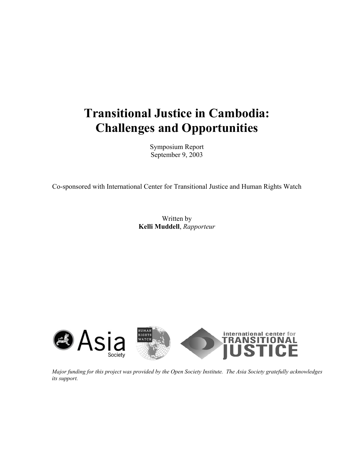# **Transitional Justice in Cambodia: Challenges and Opportunities**

Symposium Report September 9, 2003

Co-sponsored with International Center for Transitional Justice and Human Rights Watch

Written by **Kelli Muddell**, *Rapporteur* 



*Major funding for this project was provided by the Open Society Institute. The Asia Society gratefully acknowledges its support.*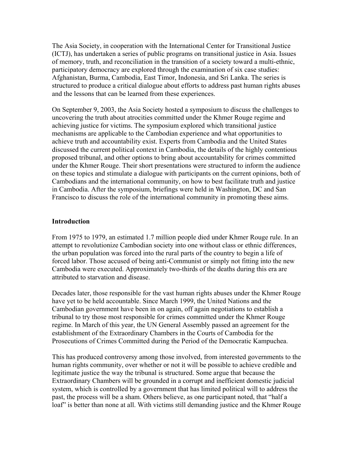The Asia Society, in cooperation with the International Center for Transitional Justice (ICTJ), has undertaken a series of public programs on transitional justice in Asia. Issues of memory, truth, and reconciliation in the transition of a society toward a multi-ethnic, participatory democracy are explored through the examination of six case studies: Afghanistan, Burma, Cambodia, East Timor, Indonesia, and Sri Lanka. The series is structured to produce a critical dialogue about efforts to address past human rights abuses and the lessons that can be learned from these experiences.

On September 9, 2003, the Asia Society hosted a symposium to discuss the challenges to uncovering the truth about atrocities committed under the Khmer Rouge regime and achieving justice for victims. The symposium explored which transitional justice mechanisms are applicable to the Cambodian experience and what opportunities to achieve truth and accountability exist. Experts from Cambodia and the United States discussed the current political context in Cambodia, the details of the highly contentious proposed tribunal, and other options to bring about accountability for crimes committed under the Khmer Rouge. Their short presentations were structured to inform the audience on these topics and stimulate a dialogue with participants on the current opinions, both of Cambodians and the international community, on how to best facilitate truth and justice in Cambodia. After the symposium, briefings were held in Washington, DC and San Francisco to discuss the role of the international community in promoting these aims.

#### **Introduction**

From 1975 to 1979, an estimated 1.7 million people died under Khmer Rouge rule. In an attempt to revolutionize Cambodian society into one without class or ethnic differences, the urban population was forced into the rural parts of the country to begin a life of forced labor. Those accused of being anti-Communist or simply not fitting into the new Cambodia were executed. Approximately two-thirds of the deaths during this era are attributed to starvation and disease.

Decades later, those responsible for the vast human rights abuses under the Khmer Rouge have yet to be held accountable. Since March 1999, the United Nations and the Cambodian government have been in on again, off again negotiations to establish a tribunal to try those most responsible for crimes committed under the Khmer Rouge regime. In March of this year, the UN General Assembly passed an agreement for the establishment of the Extraordinary Chambers in the Courts of Cambodia for the Prosecutions of Crimes Committed during the Period of the Democratic Kampuchea.

This has produced controversy among those involved, from interested governments to the human rights community, over whether or not it will be possible to achieve credible and legitimate justice the way the tribunal is structured. Some argue that because the Extraordinary Chambers will be grounded in a corrupt and inefficient domestic judicial system, which is controlled by a government that has limited political will to address the past, the process will be a sham. Others believe, as one participant noted, that "half a loaf" is better than none at all. With victims still demanding justice and the Khmer Rouge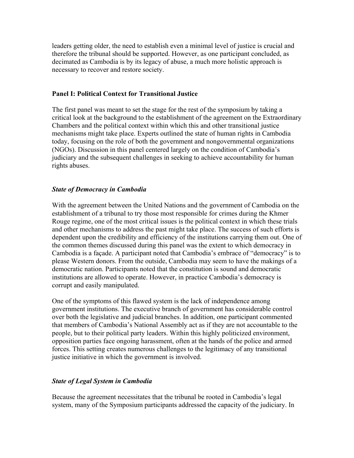leaders getting older, the need to establish even a minimal level of justice is crucial and therefore the tribunal should be supported. However, as one participant concluded, as decimated as Cambodia is by its legacy of abuse, a much more holistic approach is necessary to recover and restore society.

#### **Panel I: Political Context for Transitional Justice**

The first panel was meant to set the stage for the rest of the symposium by taking a critical look at the background to the establishment of the agreement on the Extraordinary Chambers and the political context within which this and other transitional justice mechanisms might take place. Experts outlined the state of human rights in Cambodia today, focusing on the role of both the government and nongovernmental organizations (NGOs). Discussion in this panel centered largely on the condition of Cambodia's judiciary and the subsequent challenges in seeking to achieve accountability for human rights abuses.

#### *State of Democracy in Cambodia*

With the agreement between the United Nations and the government of Cambodia on the establishment of a tribunal to try those most responsible for crimes during the Khmer Rouge regime, one of the most critical issues is the political context in which these trials and other mechanisms to address the past might take place. The success of such efforts is dependent upon the credibility and efficiency of the institutions carrying them out. One of the common themes discussed during this panel was the extent to which democracy in Cambodia is a façade. A participant noted that Cambodia's embrace of "democracy" is to please Western donors. From the outside, Cambodia may seem to have the makings of a democratic nation. Participants noted that the constitution is sound and democratic institutions are allowed to operate. However, in practice Cambodia's democracy is corrupt and easily manipulated.

One of the symptoms of this flawed system is the lack of independence among government institutions. The executive branch of government has considerable control over both the legislative and judicial branches. In addition, one participant commented that members of Cambodia's National Assembly act as if they are not accountable to the people, but to their political party leaders. Within this highly politicized environment, opposition parties face ongoing harassment, often at the hands of the police and armed forces. This setting creates numerous challenges to the legitimacy of any transitional justice initiative in which the government is involved.

## *State of Legal System in Cambodia*

Because the agreement necessitates that the tribunal be rooted in Cambodia's legal system, many of the Symposium participants addressed the capacity of the judiciary. In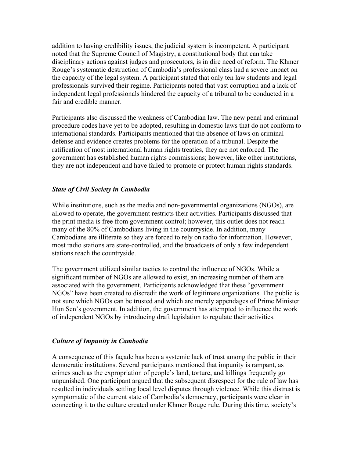addition to having credibility issues, the judicial system is incompetent. A participant noted that the Supreme Council of Magistry, a constitutional body that can take disciplinary actions against judges and prosecutors, is in dire need of reform. The Khmer Rouge's systematic destruction of Cambodia's professional class had a severe impact on the capacity of the legal system. A participant stated that only ten law students and legal professionals survived their regime. Participants noted that vast corruption and a lack of independent legal professionals hindered the capacity of a tribunal to be conducted in a fair and credible manner.

Participants also discussed the weakness of Cambodian law. The new penal and criminal procedure codes have yet to be adopted, resulting in domestic laws that do not conform to international standards. Participants mentioned that the absence of laws on criminal defense and evidence creates problems for the operation of a tribunal. Despite the ratification of most international human rights treaties, they are not enforced. The government has established human rights commissions; however, like other institutions, they are not independent and have failed to promote or protect human rights standards.

#### *State of Civil Society in Cambodia*

While institutions, such as the media and non-governmental organizations (NGOs), are allowed to operate, the government restricts their activities. Participants discussed that the print media is free from government control; however, this outlet does not reach many of the 80% of Cambodians living in the countryside. In addition, many Cambodians are illiterate so they are forced to rely on radio for information. However, most radio stations are state-controlled, and the broadcasts of only a few independent stations reach the countryside.

The government utilized similar tactics to control the influence of NGOs. While a significant number of NGOs are allowed to exist, an increasing number of them are associated with the government. Participants acknowledged that these "government NGOs" have been created to discredit the work of legitimate organizations. The public is not sure which NGOs can be trusted and which are merely appendages of Prime Minister Hun Sen's government. In addition, the government has attempted to influence the work of independent NGOs by introducing draft legislation to regulate their activities.

#### *Culture of Impunity in Cambodia*

A consequence of this façade has been a systemic lack of trust among the public in their democratic institutions. Several participants mentioned that impunity is rampant, as crimes such as the expropriation of people's land, torture, and killings frequently go unpunished. One participant argued that the subsequent disrespect for the rule of law has resulted in individuals settling local level disputes through violence. While this distrust is symptomatic of the current state of Cambodia's democracy, participants were clear in connecting it to the culture created under Khmer Rouge rule. During this time, society's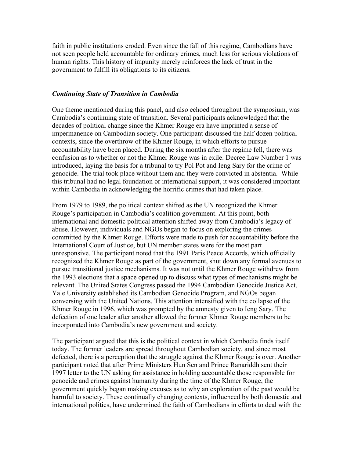faith in public institutions eroded. Even since the fall of this regime, Cambodians have not seen people held accountable for ordinary crimes, much less for serious violations of human rights. This history of impunity merely reinforces the lack of trust in the government to fulfill its obligations to its citizens.

#### *Continuing State of Transition in Cambodia*

One theme mentioned during this panel, and also echoed throughout the symposium, was Cambodia's continuing state of transition. Several participants acknowledged that the decades of political change since the Khmer Rouge era have imprinted a sense of impermanence on Cambodian society. One participant discussed the half dozen political contexts, since the overthrow of the Khmer Rouge, in which efforts to pursue accountability have been placed. During the six months after the regime fell, there was confusion as to whether or not the Khmer Rouge was in exile. Decree Law Number 1 was introduced, laying the basis for a tribunal to try Pol Pot and Ieng Sary for the crime of genocide. The trial took place without them and they were convicted in abstentia. While this tribunal had no legal foundation or international support, it was considered important within Cambodia in acknowledging the horrific crimes that had taken place.

From 1979 to 1989, the political context shifted as the UN recognized the Khmer Rouge's participation in Cambodia's coalition government. At this point, both international and domestic political attention shifted away from Cambodia's legacy of abuse. However, individuals and NGOs began to focus on exploring the crimes committed by the Khmer Rouge. Efforts were made to push for accountability before the International Court of Justice, but UN member states were for the most part unresponsive. The participant noted that the 1991 Paris Peace Accords, which officially recognized the Khmer Rouge as part of the government, shut down any formal avenues to pursue transitional justice mechanisms. It was not until the Khmer Rouge withdrew from the 1993 elections that a space opened up to discuss what types of mechanisms might be relevant. The United States Congress passed the 1994 Cambodian Genocide Justice Act, Yale University established its Cambodian Genocide Program, and NGOs began conversing with the United Nations. This attention intensified with the collapse of the Khmer Rouge in 1996, which was prompted by the amnesty given to Ieng Sary. The defection of one leader after another allowed the former Khmer Rouge members to be incorporated into Cambodia's new government and society.

The participant argued that this is the political context in which Cambodia finds itself today. The former leaders are spread throughout Cambodian society, and since most defected, there is a perception that the struggle against the Khmer Rouge is over. Another participant noted that after Prime Ministers Hun Sen and Prince Ranariddh sent their 1997 letter to the UN asking for assistance in holding accountable those responsible for genocide and crimes against humanity during the time of the Khmer Rouge, the government quickly began making excuses as to why an exploration of the past would be harmful to society. These continually changing contexts, influenced by both domestic and international politics, have undermined the faith of Cambodians in efforts to deal with the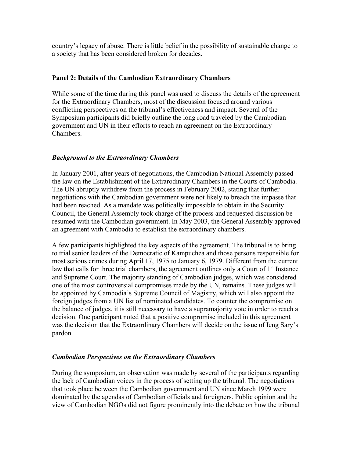country's legacy of abuse. There is little belief in the possibility of sustainable change to a society that has been considered broken for decades.

#### **Panel 2: Details of the Cambodian Extraordinary Chambers**

While some of the time during this panel was used to discuss the details of the agreement for the Extraordinary Chambers, most of the discussion focused around various conflicting perspectives on the tribunal's effectiveness and impact. Several of the Symposium participants did briefly outline the long road traveled by the Cambodian government and UN in their efforts to reach an agreement on the Extraordinary Chambers.

#### *Background to the Extraordinary Chambers*

In January 2001, after years of negotiations, the Cambodian National Assembly passed the law on the Establishment of the Extrarodinary Chambers in the Courts of Cambodia. The UN abruptly withdrew from the process in February 2002, stating that further negotiations with the Cambodian government were not likely to breach the impasse that had been reached. As a mandate was politically impossible to obtain in the Security Council, the General Assembly took charge of the process and requested discussion be resumed with the Cambodian government. In May 2003, the General Assembly approved an agreement with Cambodia to establish the extraordinary chambers.

A few participants highlighted the key aspects of the agreement. The tribunal is to bring to trial senior leaders of the Democratic of Kampuchea and those persons responsible for most serious crimes during April 17, 1975 to January 6, 1979. Different from the current law that calls for three trial chambers, the agreement outlines only a Court of  $1<sup>st</sup>$  Instance and Supreme Court. The majority standing of Cambodian judges, which was considered one of the most controversial compromises made by the UN, remains. These judges will be appointed by Cambodia's Supreme Council of Magistry, which will also appoint the foreign judges from a UN list of nominated candidates. To counter the compromise on the balance of judges, it is still necessary to have a supramajority vote in order to reach a decision. One participant noted that a positive compromise included in this agreement was the decision that the Extraordinary Chambers will decide on the issue of Ieng Sary's pardon.

## *Cambodian Perspectives on the Extraordinary Chambers*

During the symposium, an observation was made by several of the participants regarding the lack of Cambodian voices in the process of setting up the tribunal. The negotiations that took place between the Cambodian government and UN since March 1999 were dominated by the agendas of Cambodian officials and foreigners. Public opinion and the view of Cambodian NGOs did not figure prominently into the debate on how the tribunal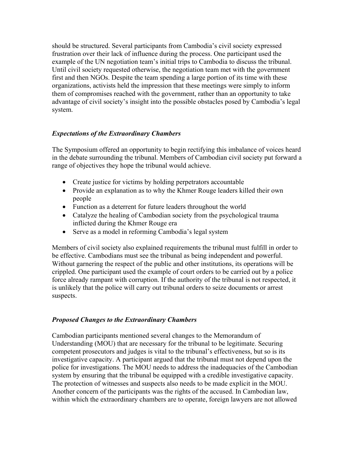should be structured. Several participants from Cambodia's civil society expressed frustration over their lack of influence during the process. One participant used the example of the UN negotiation team's initial trips to Cambodia to discuss the tribunal. Until civil society requested otherwise, the negotiation team met with the government first and then NGOs. Despite the team spending a large portion of its time with these organizations, activists held the impression that these meetings were simply to inform them of compromises reached with the government, rather than an opportunity to take advantage of civil society's insight into the possible obstacles posed by Cambodia's legal system.

# *Expectations of the Extraordinary Chambers*

The Symposium offered an opportunity to begin rectifying this imbalance of voices heard in the debate surrounding the tribunal. Members of Cambodian civil society put forward a range of objectives they hope the tribunal would achieve.

- Create justice for victims by holding perpetrators accountable
- Provide an explanation as to why the Khmer Rouge leaders killed their own people
- Function as a deterrent for future leaders throughout the world
- Catalyze the healing of Cambodian society from the psychological trauma inflicted during the Khmer Rouge era
- Serve as a model in reforming Cambodia's legal system

Members of civil society also explained requirements the tribunal must fulfill in order to be effective. Cambodians must see the tribunal as being independent and powerful. Without garnering the respect of the public and other institutions, its operations will be crippled. One participant used the example of court orders to be carried out by a police force already rampant with corruption. If the authority of the tribunal is not respected, it is unlikely that the police will carry out tribunal orders to seize documents or arrest suspects.

## *Proposed Changes to the Extraordinary Chambers*

Cambodian participants mentioned several changes to the Memorandum of Understanding (MOU) that are necessary for the tribunal to be legitimate. Securing competent prosecutors and judges is vital to the tribunal's effectiveness, but so is its investigative capacity. A participant argued that the tribunal must not depend upon the police for investigations. The MOU needs to address the inadequacies of the Cambodian system by ensuring that the tribunal be equipped with a credible investigative capacity. The protection of witnesses and suspects also needs to be made explicit in the MOU. Another concern of the participants was the rights of the accused. In Cambodian law, within which the extraordinary chambers are to operate, foreign lawyers are not allowed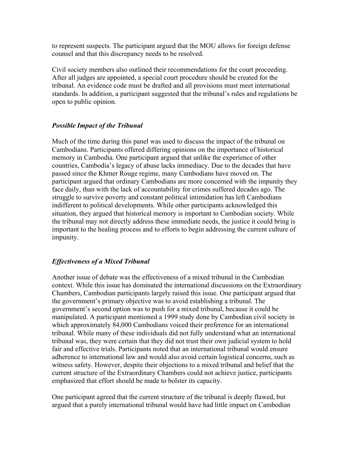to represent suspects. The participant argued that the MOU allows for foreign defense counsel and that this discrepancy needs to be resolved.

Civil society members also outlined their recommendations for the court proceeding. After all judges are appointed, a special court procedure should be created for the tribunal. An evidence code must be drafted and all provisions must meet international standards. In addition, a participant suggested that the tribunal's rules and regulations be open to public opinion.

## *Possible Impact of the Tribunal*

Much of the time during this panel was used to discuss the impact of the tribunal on Cambodians. Participants offered differing opinions on the importance of historical memory in Cambodia. One participant argued that unlike the experience of other countries, Cambodia's legacy of abuse lacks immediacy. Due to the decades that have passed since the Khmer Rouge regime, many Cambodians have moved on. The participant argued that ordinary Cambodians are more concerned with the impunity they face daily, than with the lack of accountability for crimes suffered decades ago. The struggle to survive poverty and constant political intimidation has left Cambodians indifferent to political developments. While other participants acknowledged this situation, they argued that historical memory is important to Cambodian society. While the tribunal may not directly address these immediate needs, the justice it could bring is important to the healing process and to efforts to begin addressing the current culture of impunity.

## *Effectiveness of a Mixed Tribunal*

Another issue of debate was the effectiveness of a mixed tribunal in the Cambodian context. While this issue has dominated the international discussions on the Extraordinary Chambers, Cambodian participants largely raised this issue. One participant argued that the government's primary objective was to avoid establishing a tribunal. The government's second option was to push for a mixed tribunal, because it could be manipulated. A participant mentioned a 1999 study done by Cambodian civil society in which approximately 84,000 Cambodians voiced their preference for an international tribunal. While many of these individuals did not fully understand what an international tribunal was, they were certain that they did not trust their own judicial system to hold fair and effective trials. Participants noted that an international tribunal would ensure adherence to international law and would also avoid certain logistical concerns, such as witness safety. However, despite their objections to a mixed tribunal and belief that the current structure of the Extraordinary Chambers could not achieve justice, participants emphasized that effort should be made to bolster its capacity.

One participant agreed that the current structure of the tribunal is deeply flawed, but argued that a purely international tribunal would have had little impact on Cambodian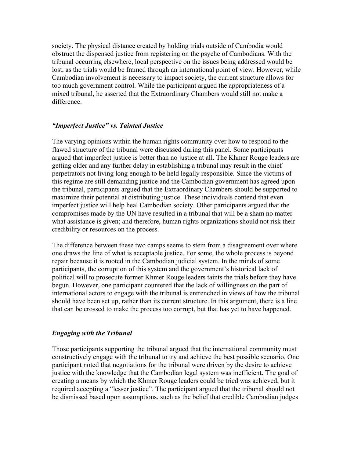society. The physical distance created by holding trials outside of Cambodia would obstruct the dispensed justice from registering on the psyche of Cambodians. With the tribunal occurring elsewhere, local perspective on the issues being addressed would be lost, as the trials would be framed through an international point of view. However, while Cambodian involvement is necessary to impact society, the current structure allows for too much government control. While the participant argued the appropriateness of a mixed tribunal, he asserted that the Extraordinary Chambers would still not make a difference.

#### *"Imperfect Justice" vs. Tainted Justice*

The varying opinions within the human rights community over how to respond to the flawed structure of the tribunal were discussed during this panel. Some participants argued that imperfect justice is better than no justice at all. The Khmer Rouge leaders are getting older and any further delay in establishing a tribunal may result in the chief perpetrators not living long enough to be held legally responsible. Since the victims of this regime are still demanding justice and the Cambodian government has agreed upon the tribunal, participants argued that the Extraordinary Chambers should be supported to maximize their potential at distributing justice. These individuals contend that even imperfect justice will help heal Cambodian society. Other participants argued that the compromises made by the UN have resulted in a tribunal that will be a sham no matter what assistance is given; and therefore, human rights organizations should not risk their credibility or resources on the process.

The difference between these two camps seems to stem from a disagreement over where one draws the line of what is acceptable justice. For some, the whole process is beyond repair because it is rooted in the Cambodian judicial system. In the minds of some participants, the corruption of this system and the government's historical lack of political will to prosecute former Khmer Rouge leaders taints the trials before they have begun. However, one participant countered that the lack of willingness on the part of international actors to engage with the tribunal is entrenched in views of how the tribunal should have been set up, rather than its current structure. In this argument, there is a line that can be crossed to make the process too corrupt, but that has yet to have happened.

## *Engaging with the Tribunal*

Those participants supporting the tribunal argued that the international community must constructively engage with the tribunal to try and achieve the best possible scenario. One participant noted that negotiations for the tribunal were driven by the desire to achieve justice with the knowledge that the Cambodian legal system was inefficient. The goal of creating a means by which the Khmer Rouge leaders could be tried was achieved, but it required accepting a "lesser justice". The participant argued that the tribunal should not be dismissed based upon assumptions, such as the belief that credible Cambodian judges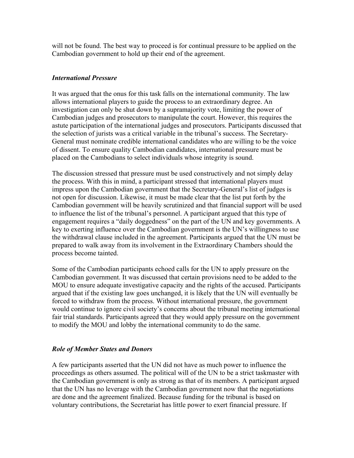will not be found. The best way to proceed is for continual pressure to be applied on the Cambodian government to hold up their end of the agreement.

#### *International Pressure*

It was argued that the onus for this task falls on the international community. The law allows international players to guide the process to an extraordinary degree. An investigation can only be shut down by a supramajority vote, limiting the power of Cambodian judges and prosecutors to manipulate the court. However, this requires the astute participation of the international judges and prosecutors. Participants discussed that the selection of jurists was a critical variable in the tribunal's success. The Secretary-General must nominate credible international candidates who are willing to be the voice of dissent. To ensure quality Cambodian candidates, international pressure must be placed on the Cambodians to select individuals whose integrity is sound.

The discussion stressed that pressure must be used constructively and not simply delay the process. With this in mind, a participant stressed that international players must impress upon the Cambodian government that the Secretary-General's list of judges is not open for discussion. Likewise, it must be made clear that the list put forth by the Cambodian government will be heavily scrutinized and that financial support will be used to influence the list of the tribunal's personnel. A participant argued that this type of engagement requires a "daily doggedness" on the part of the UN and key governments. A key to exerting influence over the Cambodian government is the UN's willingness to use the withdrawal clause included in the agreement. Participants argued that the UN must be prepared to walk away from its involvement in the Extraordinary Chambers should the process become tainted.

Some of the Cambodian participants echoed calls for the UN to apply pressure on the Cambodian government. It was discussed that certain provisions need to be added to the MOU to ensure adequate investigative capacity and the rights of the accused. Participants argued that if the existing law goes unchanged, it is likely that the UN will eventually be forced to withdraw from the process. Without international pressure, the government would continue to ignore civil society's concerns about the tribunal meeting international fair trial standards. Participants agreed that they would apply pressure on the government to modify the MOU and lobby the international community to do the same.

## *Role of Member States and Donors*

A few participants asserted that the UN did not have as much power to influence the proceedings as others assumed. The political will of the UN to be a strict taskmaster with the Cambodian government is only as strong as that of its members. A participant argued that the UN has no leverage with the Cambodian government now that the negotiations are done and the agreement finalized. Because funding for the tribunal is based on voluntary contributions, the Secretariat has little power to exert financial pressure. If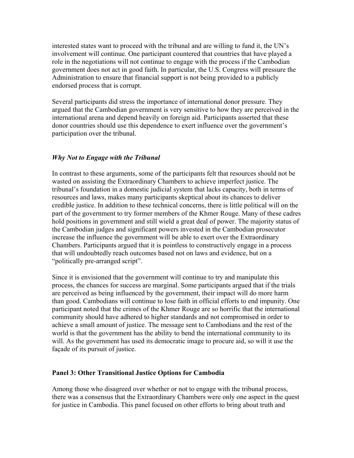interested states want to proceed with the tribunal and are willing to fund it, the UN's involvement will continue. One participant countered that countries that have played a role in the negotiations will not continue to engage with the process if the Cambodian government does not act in good faith. In particular, the U.S. Congress will pressure the Administration to ensure that financial support is not being provided to a publicly endorsed process that is corrupt.

Several participants did stress the importance of international donor pressure. They argued that the Cambodian government is very sensitive to how they are perceived in the international arena and depend heavily on foreign aid. Participants asserted that these donor countries should use this dependence to exert influence over the government's participation over the tribunal.

#### *Why Not to Engage with the Tribunal*

In contrast to these arguments, some of the participants felt that resources should not be wasted on assisting the Extraordinary Chambers to achieve imperfect justice. The tribunal's foundation in a domestic judicial system that lacks capacity, both in terms of resources and laws, makes many participants skeptical about its chances to deliver credible justice. In addition to these technical concerns, there is little political will on the part of the government to try former members of the Khmer Rouge. Many of these cadres hold positions in government and still wield a great deal of power. The majority status of the Cambodian judges and significant powers invested in the Cambodian prosecutor increase the influence the government will be able to exert over the Extraordinary Chambers. Participants argued that it is pointless to constructively engage in a process that will undoubtedly reach outcomes based not on laws and evidence, but on a "politically pre-arranged script".

Since it is envisioned that the government will continue to try and manipulate this process, the chances for success are marginal. Some participants argued that if the trials are perceived as being influenced by the government, their impact will do more harm than good. Cambodians will continue to lose faith in official efforts to end impunity. One participant noted that the crimes of the Khmer Rouge are so horrific that the international community should have adhered to higher standards and not compromised in order to achieve a small amount of justice. The message sent to Cambodians and the rest of the world is that the government has the ability to bend the international community to its will. As the government has used its democratic image to procure aid, so will it use the façade of its pursuit of justice.

#### **Panel 3: Other Transitional Justice Options for Cambodia**

Among those who disagreed over whether or not to engage with the tribunal process, there was a consensus that the Extraordinary Chambers were only one aspect in the quest for justice in Cambodia. This panel focused on other efforts to bring about truth and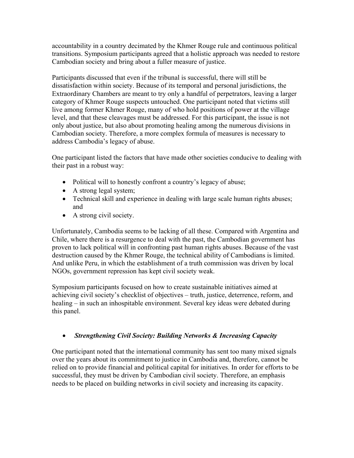accountability in a country decimated by the Khmer Rouge rule and continuous political transitions. Symposium participants agreed that a holistic approach was needed to restore Cambodian society and bring about a fuller measure of justice.

Participants discussed that even if the tribunal is successful, there will still be dissatisfaction within society. Because of its temporal and personal jurisdictions, the Extraordinary Chambers are meant to try only a handful of perpetrators, leaving a larger category of Khmer Rouge suspects untouched. One participant noted that victims still live among former Khmer Rouge, many of who hold positions of power at the village level, and that these cleavages must be addressed. For this participant, the issue is not only about justice, but also about promoting healing among the numerous divisions in Cambodian society. Therefore, a more complex formula of measures is necessary to address Cambodia's legacy of abuse.

One participant listed the factors that have made other societies conducive to dealing with their past in a robust way:

- Political will to honestly confront a country's legacy of abuse;
- A strong legal system;
- Technical skill and experience in dealing with large scale human rights abuses; and
- A strong civil society.

Unfortunately, Cambodia seems to be lacking of all these. Compared with Argentina and Chile, where there is a resurgence to deal with the past, the Cambodian government has proven to lack political will in confronting past human rights abuses. Because of the vast destruction caused by the Khmer Rouge, the technical ability of Cambodians is limited. And unlike Peru, in which the establishment of a truth commission was driven by local NGOs, government repression has kept civil society weak.

Symposium participants focused on how to create sustainable initiatives aimed at achieving civil society's checklist of objectives – truth, justice, deterrence, reform, and healing – in such an inhospitable environment. Several key ideas were debated during this panel.

# • *Strengthening Civil Society: Building Networks & Increasing Capacity*

One participant noted that the international community has sent too many mixed signals over the years about its commitment to justice in Cambodia and, therefore, cannot be relied on to provide financial and political capital for initiatives. In order for efforts to be successful, they must be driven by Cambodian civil society. Therefore, an emphasis needs to be placed on building networks in civil society and increasing its capacity.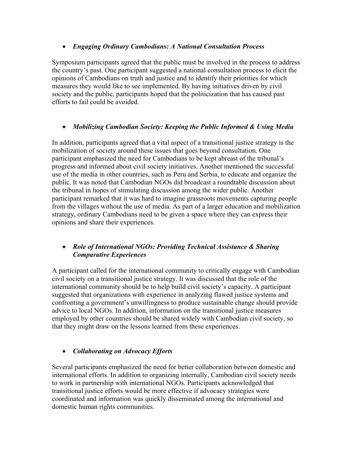# • *Engaging Ordinary Cambodians: A National Consultation Process*

Symposium participants agreed that the public must be involved in the process to address the country's past. One participant suggested a national consultation process to elicit the opinions of Cambodians on truth and justice and to identify their priorities for which measures they would like to see implemented. By having initiatives driven by civil society and the public, participants hoped that the politicization that has caused past efforts to fail could be avoided.

# • *Mobilizing Cambodian Society: Keeping the Public Informed & Using Media*

In addition, participants agreed that a vital aspect of a transitional justice strategy is the mobilization of society around these issues that goes beyond consultation. One participant emphasized the need for Cambodians to be kept abreast of the tribunal's progress and informed about civil society initiatives. Another mentioned the successful use of the media in other countries, such as Peru and Serbia, to educate and organize the public. It was noted that Cambodian NGOs did broadcast a roundtable discussion about the tribunal in hopes of stimulating discussion among the wider public. Another participant remarked that it was hard to imagine grassroots movements capturing people from the villages without the use of media. As part of a larger education and mobilization strategy, ordinary Cambodians need to be given a space where they can express their opinions and share their experiences.

# • *Role of International NGOs: Providing Technical Assistance & Sharing Comparative Experiences*

A participant called for the international community to critically engage with Cambodian civil society on a transitional justice strategy. It was discussed that the role of the international community should be to help build civil society's capacity. A participant suggested that organizations with experience in analyzing flawed justice systems and confronting a government's unwillingness to produce sustainable change should provide advice to local NGOs. In addition, information on the transitional justice measures employed by other countries should be shared widely with Cambodian civil society, so that they might draw on the lessons learned from these experiences.

# • *Collaborating on Advocacy Efforts*

Several participants emphasized the need for better collaboration between domestic and international efforts. In addition to organizing internally, Cambodian civil society needs to work in partnership with international NGOs. Participants acknowledged that transitional justice efforts would be more effective if advocacy strategies were coordinated and information was quickly disseminated among the international and domestic human rights communities.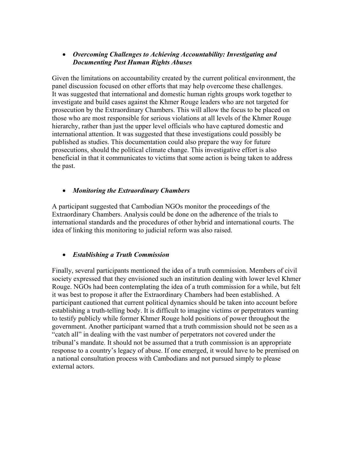# • *Overcoming Challenges to Achieving Accountability: Investigating and Documenting Past Human Rights Abuses*

Given the limitations on accountability created by the current political environment, the panel discussion focused on other efforts that may help overcome these challenges. It was suggested that international and domestic human rights groups work together to investigate and build cases against the Khmer Rouge leaders who are not targeted for prosecution by the Extraordinary Chambers. This will allow the focus to be placed on those who are most responsible for serious violations at all levels of the Khmer Rouge hierarchy, rather than just the upper level officials who have captured domestic and international attention. It was suggested that these investigations could possibly be published as studies. This documentation could also prepare the way for future prosecutions, should the political climate change. This investigative effort is also beneficial in that it communicates to victims that some action is being taken to address the past.

# • *Monitoring the Extraordinary Chambers*

A participant suggested that Cambodian NGOs monitor the proceedings of the Extraordinary Chambers. Analysis could be done on the adherence of the trials to international standards and the procedures of other hybrid and international courts. The idea of linking this monitoring to judicial reform was also raised.

# • *Establishing a Truth Commission*

Finally, several participants mentioned the idea of a truth commission. Members of civil society expressed that they envisioned such an institution dealing with lower level Khmer Rouge. NGOs had been contemplating the idea of a truth commission for a while, but felt it was best to propose it after the Extraordinary Chambers had been established. A participant cautioned that current political dynamics should be taken into account before establishing a truth-telling body. It is difficult to imagine victims or perpetrators wanting to testify publicly while former Khmer Rouge hold positions of power throughout the government. Another participant warned that a truth commission should not be seen as a "catch all" in dealing with the vast number of perpetrators not covered under the tribunal's mandate. It should not be assumed that a truth commission is an appropriate response to a country's legacy of abuse. If one emerged, it would have to be premised on a national consultation process with Cambodians and not pursued simply to please external actors.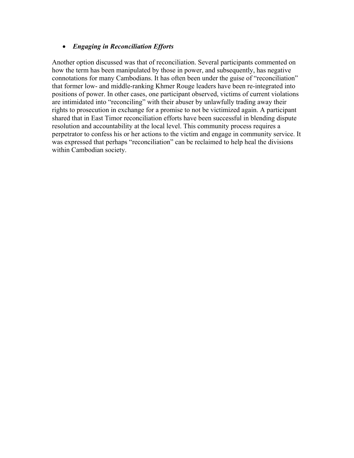## • *Engaging in Reconciliation Efforts*

Another option discussed was that of reconciliation. Several participants commented on how the term has been manipulated by those in power, and subsequently, has negative connotations for many Cambodians. It has often been under the guise of "reconciliation" that former low- and middle-ranking Khmer Rouge leaders have been re-integrated into positions of power. In other cases, one participant observed, victims of current violations are intimidated into "reconciling" with their abuser by unlawfully trading away their rights to prosecution in exchange for a promise to not be victimized again. A participant shared that in East Timor reconciliation efforts have been successful in blending dispute resolution and accountability at the local level. This community process requires a perpetrator to confess his or her actions to the victim and engage in community service. It was expressed that perhaps "reconciliation" can be reclaimed to help heal the divisions within Cambodian society.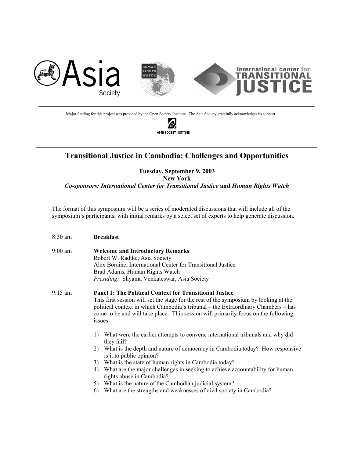

Major funding for this project was provided by the Open Society Institute. The Asia Society gratefully acknowledges its support.

í0. OPEN SOCIETY INSTITUTE

 $\overline{a}$ 

# **Transitional Justice in Cambodia: Challenges and Opportunities**

**Tuesday, September 9, 2003 New York** 

*Co-sponsors: International Center for Transitional Justice* **and** *Human Rights Watch* 

The format of this symposium will be a series of moderated discussions that will include all of the symposium's participants, with initial remarks by a select set of experts to help generate discussion.

| $8:30$ am         | <b>Breakfast</b>                                                                                                                                                                                                                                                                                                                                                                                                                                                                                                                                   |  |  |  |
|-------------------|----------------------------------------------------------------------------------------------------------------------------------------------------------------------------------------------------------------------------------------------------------------------------------------------------------------------------------------------------------------------------------------------------------------------------------------------------------------------------------------------------------------------------------------------------|--|--|--|
| $9:00 \text{ am}$ | <b>Welcome and Introductory Remarks</b><br>Robert W. Radtke, Asia Society<br>Alex Boraine, International Center for Transitional Justice<br>Brad Adams, Human Rights Watch<br>Presiding: Shyama Venkateswar, Asia Society                                                                                                                                                                                                                                                                                                                          |  |  |  |
| $9:15 \text{ am}$ | <b>Panel 1: The Political Context for Transitional Justice</b><br>This first session will set the stage for the rest of the symposium by looking at the<br>political context in which Cambodia's tribunal – the Extraordinary Chambers – has<br>come to be and will take place. This session will primarily focus on the following<br>issues:                                                                                                                                                                                                      |  |  |  |
|                   | What were the earlier attempts to convene international tribunals and why did<br>$\mathbf{D}$<br>they fail?<br>2) What is the depth and nature of democracy in Cambodia today? How responsive<br>is it to public opinion?<br>What is the state of human rights in Cambodia today?<br>3)<br>What are the major challenges in seeking to achieve accountability for human<br>4)<br>rights abuse in Cambodia?<br>5) What is the nature of the Cambodian judicial system?<br>What are the strengths and weaknesses of civil society in Cambodia?<br>6) |  |  |  |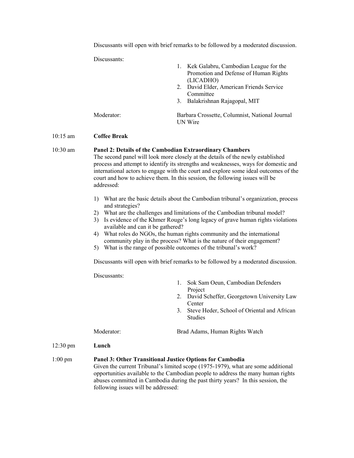Discussants will open with brief remarks to be followed by a moderated discussion.

Discussants:

|            | 1. Kek Galabru, Cambodian League for the<br>Promotion and Defense of Human Rights<br>(LICADHO) |
|------------|------------------------------------------------------------------------------------------------|
|            | 2. David Elder, American Friends Service<br>Committee                                          |
|            | 3. Balakrishnan Rajagopal, MIT                                                                 |
| Moderator: | Barbara Crossette, Columnist, National Journal<br><b>UN</b> Wire                               |

#### 10:15 am **Coffee Break**

#### 10:30 am **Panel 2: Details of the Cambodian Extraordinary Chambers** The second panel will look more closely at the details of the newly established process and attempt to identify its strengths and weaknesses, ways for domestic and international actors to engage with the court and explore some ideal outcomes of the court and how to achieve them. In this session, the following issues will be addressed:

- 1) What are the basic details about the Cambodian tribunal's organization, process and strategies?
- 2) What are the challenges and limitations of the Cambodian tribunal model?
- 3) Is evidence of the Khmer Rouge's long legacy of grave human rights violations available and can it be gathered?
- 4) What roles do NGOs, the human rights community and the international community play in the process? What is the nature of their engagement?
- 5) What is the range of possible outcomes of the tribunal's work?

Discussants will open with brief remarks to be followed by a moderated discussion.

Discussants:

|                    | DISCUSSAIILS.                                                                                                                                                                                                                                           |                                                                     |  |  |  |
|--------------------|---------------------------------------------------------------------------------------------------------------------------------------------------------------------------------------------------------------------------------------------------------|---------------------------------------------------------------------|--|--|--|
|                    |                                                                                                                                                                                                                                                         | Sok Sam Oeun, Cambodian Defenders<br>1.<br>Project                  |  |  |  |
|                    |                                                                                                                                                                                                                                                         | David Scheffer, Georgetown University Law<br>2.<br>Center           |  |  |  |
|                    |                                                                                                                                                                                                                                                         | Steve Heder, School of Oriental and African<br>3.<br><b>Studies</b> |  |  |  |
|                    | Moderator:                                                                                                                                                                                                                                              | Brad Adams, Human Rights Watch                                      |  |  |  |
| $12:30 \text{ pm}$ | Lunch                                                                                                                                                                                                                                                   |                                                                     |  |  |  |
| $1:00 \text{ pm}$  | Panel 3: Other Transitional Justice Options for Cambodia                                                                                                                                                                                                |                                                                     |  |  |  |
|                    | Given the current Tribunal's limited scope (1975-1979), what are some additional<br>opportunities available to the Cambodian people to address the many human rights<br>abuses committed in Cambodia during the past thirty years? In this session, the |                                                                     |  |  |  |

following issues will be addressed: